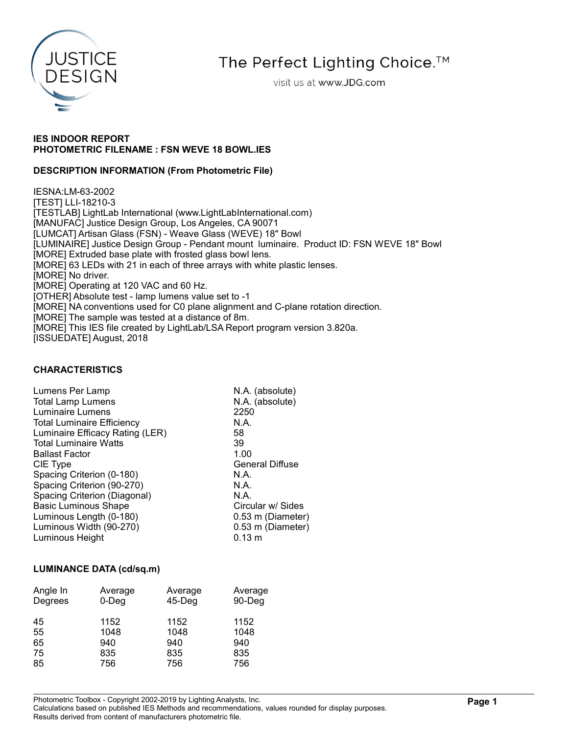

The Perfect Lighting Choice.<sup>™</sup>

visit us at www.JDG.com

### IES INDOOR REPORT PHOTOMETRIC FILENAME : FSN WEVE 18 BOWL.IES

### DESCRIPTION INFORMATION (From Photometric File)

IESNA:LM-63-2002 [TEST] LLI-18210-3 [TESTLAB] LightLab International (www.LightLabInternational.com) [MANUFAC] Justice Design Group, Los Angeles, CA 90071 [LUMCAT] Artisan Glass (FSN) - Weave Glass (WEVE) 18" Bowl [LUMINAIRE] Justice Design Group - Pendant mount luminaire. Product ID: FSN WEVE 18" Bowl [MORE] Extruded base plate with frosted glass bowl lens. [MORE] 63 LEDs with 21 in each of three arrays with white plastic lenses. [MORE] No driver. [MORE] Operating at 120 VAC and 60 Hz. [OTHER] Absolute test - lamp lumens value set to -1 [MORE] NA conventions used for C0 plane alignment and C-plane rotation direction. [MORE] The sample was tested at a distance of 8m. [MORE] This IES file created by LightLab/LSA Report program version 3.820a. [ISSUEDATE] August, 2018

### CHARACTERISTICS

| Lumens Per Lamp                   | N.A. (absolute)        |
|-----------------------------------|------------------------|
| <b>Total Lamp Lumens</b>          | N.A. (absolute)        |
| Luminaire Lumens                  | 2250                   |
| <b>Total Luminaire Efficiency</b> | N.A.                   |
| Luminaire Efficacy Rating (LER)   | 58                     |
| <b>Total Luminaire Watts</b>      | 39                     |
| <b>Ballast Factor</b>             | 1.00                   |
| CIE Type                          | <b>General Diffuse</b> |
| Spacing Criterion (0-180)         | N.A.                   |
| Spacing Criterion (90-270)        | N.A.                   |
| Spacing Criterion (Diagonal)      | N.A.                   |
| <b>Basic Luminous Shape</b>       | Circular w/ Sides      |
| Luminous Length (0-180)           | 0.53 m (Diameter)      |
| Luminous Width (90-270)           | 0.53 m (Diameter)      |
| Luminous Height                   | $0.13 \; m$            |

#### LUMINANCE DATA (cd/sq.m)

| Angle In<br>Degrees | Average<br>$0$ -Deg | Average<br>$45$ -Deg | Average<br>90-Deg |
|---------------------|---------------------|----------------------|-------------------|
| 45<br>55            | 1152<br>1048        | 1152<br>1048         | 1152<br>1048      |
| 65                  | 940                 | 940                  | 940               |
| 75                  | 835                 | 835                  | 835               |
| 85                  | 756                 | 756                  | 756               |

Photometric Toolbox - Copyright 2002-2019 by Lighting Analysts, Inc.

Calculations based on published IES Methods and recommendations, values rounded for display purposes. Results derived from content of manufacturers photometric file.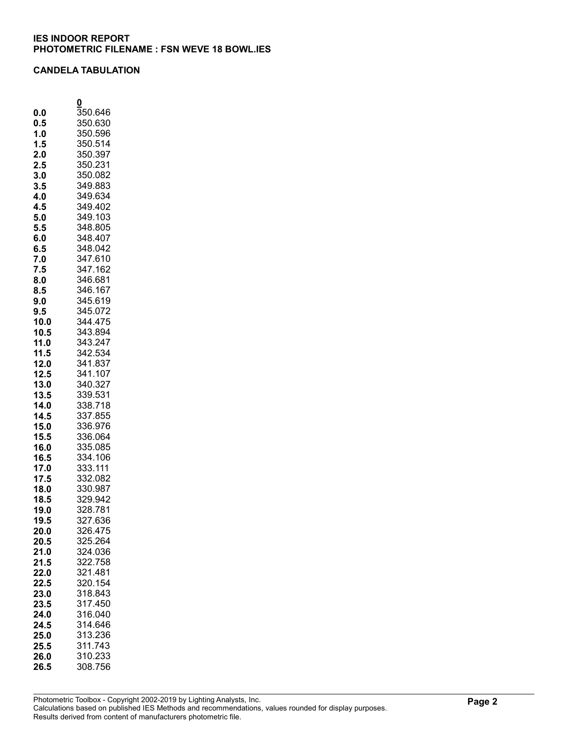#### CANDELA TABULATION

|              | 0                    |
|--------------|----------------------|
| 0.0          | $\overline{3}50.646$ |
| 0.5          | 350.630              |
| 1.0          | 350.596              |
| 1.5          | 350.514              |
| 2.0          | 350.397              |
| 2.5          | 350.231              |
| 3.0          | 350.082              |
| 3.5          | 349.883              |
| 4.0          | 349.634              |
| 4.5          | 349.402<br>349.103   |
| 5.0<br>5.5   | 348.805              |
| 6.0          | 348.407              |
| 6.5          | 348.042              |
| 7.0          | 347.610              |
| 7.5          | 347.162              |
| 8.0          | 346.681              |
| 8.5          |                      |
| 9.0          | 346.167<br>345.619   |
| 9.5          | 345.072              |
| 10.0         | 344.475              |
| 10.5         | 343.894              |
| 11.0         | 343.247              |
| 11.5         | 342.534              |
| 12.0         | 341.837              |
| 12.5         | 341.107              |
| 13.0         | 340.327              |
| 13.5         | 339.531              |
| 14.0         | 338.718              |
| 14.5         | 337.855              |
| 15.0         | 336.976              |
| 15.5         | 336.064              |
| 16.0<br>16.5 | 335.085              |
| 17.0         | 334.106<br>333.111   |
| 17.5         | 332.082              |
| 18.0         | 330.987              |
| 18.5         | 329.942              |
| 19.0         | 328.781              |
| 19.5         | 327.636              |
| 20.0         | 326.475              |
| 20.5         | 325.264              |
| 21.0         | 324.036              |
| 21.5         | 322.758              |
| 22.0         | 321.481              |
| 22.5         | 320.154              |
| 23.0         | 318.843              |
| 23.5         | 317.450              |
| 24.0         | 316.040              |
| 24.5         | 314.646              |
| 25.0         | 313.236              |
| 25.5         | 311.743              |
| 26.0         | 310.233              |
| 26.5         | 308.756              |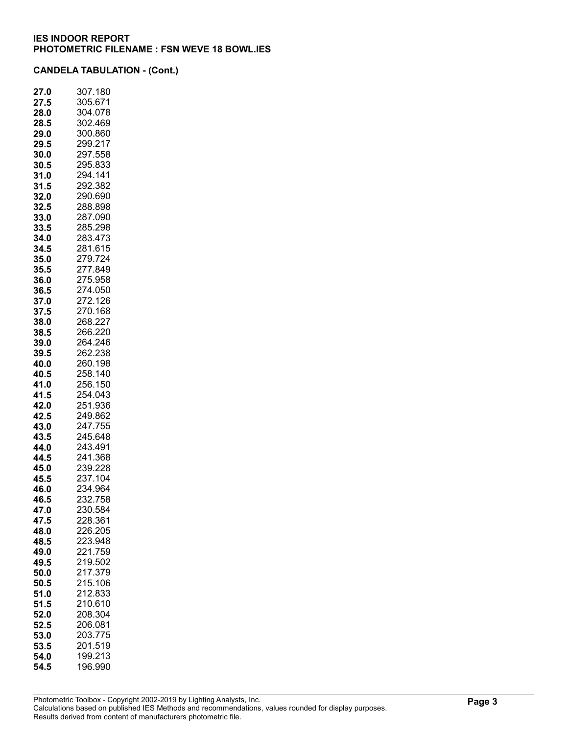| 27.0         | 307.180            |
|--------------|--------------------|
| 27.5         | 305.671            |
| 28.0         | 304.078            |
| 28.5         | 302.469            |
| 29.0         | 300.860            |
| 29.5         | 299.217            |
| 30.0         | 297.558            |
| 30.5<br>31.0 | 295.833<br>294.141 |
| 31.5         | 292.382            |
| 32.0         | 290.690            |
| 32.5         | 288.898            |
| 33.0         | 287.090            |
| 33.5         | 285.298            |
| 34.0         | 283.473            |
| 34.5         | 281.615            |
| 35.0         | 279.724            |
| 35.5         | 277.849            |
| 36.0         | 275.958            |
| 36.5         | 274.050            |
| 37.0         | 272.126            |
| 37.5         | 270.168            |
| 38.0         | 268.227            |
| 38.5         | 266.220            |
| 39.0         | 264.246            |
| 39.5         | 262.238            |
| 40.0         | 260.198            |
| 40.5         | 258.140            |
| 41.0         | 256.150            |
| 41.5         | 254.043            |
| 42.0         | 251.936            |
| 42.5         | 249.862<br>247.755 |
| 43.0<br>43.5 | 245.648            |
| 44.0         | 243.491            |
| 44.5         | 241.368            |
| 45.0         | 239.228            |
| 45.5         | 237.104            |
| 46.0         | 234.964            |
| 46.5         | 232.758            |
| 47.0         | 230.584            |
| 47.5         | 228.361            |
| 48.0         | 226.205            |
| 48.5         | 223.948            |
| 49.0         | 221.759            |
| 49.5         | 219.502            |
| 50.0         | 217.379            |
| 50.5         | 215.106            |
| 51.0         | 212.833            |
| 51.5         | 210.610            |
| 52.0         | 208.304            |
| 52.5         | 206.081            |
| 53.0         | 203.775            |
| 53.5         | 201.519            |
| 54.0         | 199.213            |
| 54.5         | 196.990            |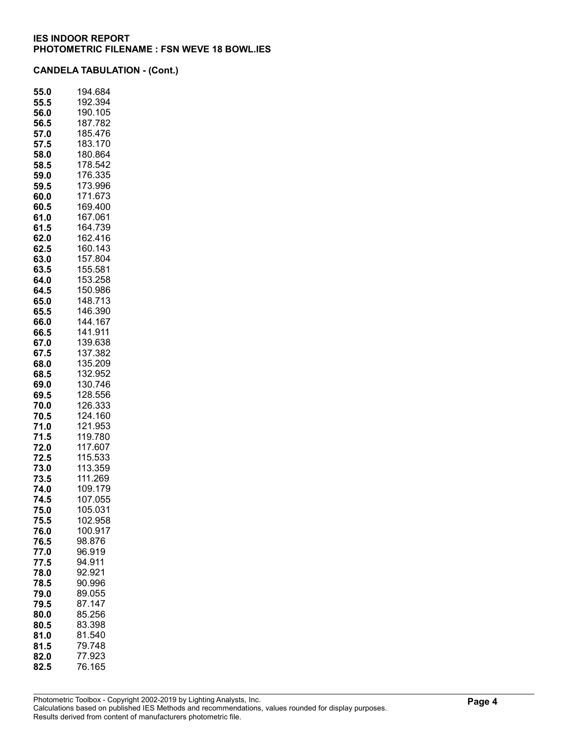| 55.0         | 194.684            |
|--------------|--------------------|
| 55.5         | 192.394            |
| 56.0         | 190.105            |
| 56.5         | 187.782            |
| 57.0         | 185.476            |
| 57.5         | 183.170            |
| 58.0         | 180.864            |
| 58.5         | 178.542            |
| 59.0         | 176.335            |
| 59.5         | 173.996            |
| 60.0         | 171.673            |
| 60.5         | 169.400            |
| 61.0         | 167.061            |
| 61.5         | 164.739            |
| 62.0         | 162.416            |
| 62.5         | 160.143            |
| 63.0         | 157.804            |
| 63.5         | 155.581            |
| 64.0         | 153.258            |
| 64.5         | 150.986            |
| 65.0         | 148.713            |
| 65.5         | 146.390            |
| 66.0         | 144.167            |
| 66.5         | 141.911            |
| 67.0         | 139.638            |
| 67.5         | 137.382            |
| 68.0         | 135.209            |
| 68.5         | 132.952            |
| 69.0         | 130.746            |
| 69.5         | 128.556            |
| 70.0         | 126.333            |
| 70.5         | 124.160            |
| 71.0         | 121.953            |
| 71.5         | 119.780            |
| 72.0         | 117.607            |
| 72.5         | 115.533            |
| 73.0         | 113.359            |
| 73.5         | 111.269            |
| 74.0<br>74.5 | 109.179<br>107.055 |
| 75.0         | 105.031            |
| 75.5         | 102.958            |
| 76.0         | 100.917            |
| 76.5         | 98.876             |
| 77.0         | 96.919             |
| 77.5         | 94.911             |
| 78.0         | 92.921             |
| 78.5         | 90.996             |
| 79.0         | 89.055             |
| 79.5         | 87.147             |
| 80.0         | 85.256             |
| 80.5         | 83.398             |
| 81.0         | 81.540             |
| 81.5         | 79.748             |
| 82.0         | 77.923             |
| 82.5         | 76.165             |
|              |                    |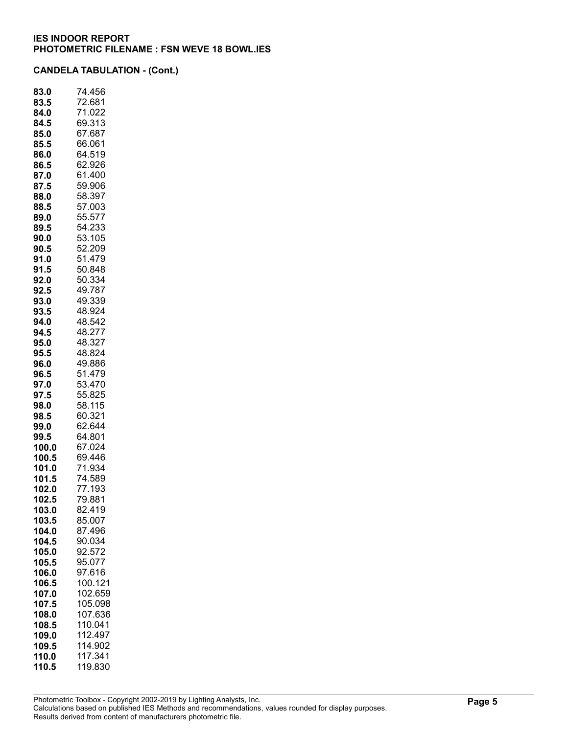| 83.0  | 74.456  |
|-------|---------|
| 83.5  | 72.681  |
| 84.0  | 71.022  |
| 84.5  | 69.313  |
| 85.0  | 67.687  |
| 85.5  | 66.061  |
| 86.0  | 64.519  |
| 86.5  | 62.926  |
| 87.0  | 61.400  |
| 87.5  | 59.906  |
| 88.0  | 58.397  |
| 88.5  | 57.003  |
| 89.0  | 55.577  |
| 89.5  | 54.233  |
| 90.0  | 53.105  |
| 90.5  | 52.209  |
| 91.0  | 51.479  |
| 91.5  | 50.848  |
| 92.0  | 50.334  |
| 92.5  | 49.787  |
| 93.0  | 49.339  |
| 93.5  | 48.924  |
| 94.0  | 48.542  |
| 94.5  | 48.277  |
| 95.0  | 48.327  |
| 95.5  | 48.824  |
| 96.0  | 49.886  |
| 96.5  | 51.479  |
| 97.0  | 53.470  |
| 97.5  | 55.825  |
| 98.0  | 58.115  |
| 98.5  | 60.321  |
| 99.0  | 62.644  |
| 99.5  | 64.801  |
| 100.0 | 67.024  |
| 100.5 | 69.446  |
| 101.0 | 71.934  |
| 101.5 | 74.589  |
| 102.0 | 77.193  |
| 102.5 | 79.881  |
| 103.0 | 82.419  |
| 103.5 | 85.007  |
| 104.0 | 87.496  |
|       | 90.034  |
| 104.5 |         |
| 105.0 | 92.572  |
| 105.5 | 95.077  |
| 106.0 | 97.616  |
| 106.5 | 100.121 |
| 107.0 | 102.659 |
| 107.5 | 105.098 |
| 108.0 | 107.636 |
| 108.5 | 110.041 |
| 109.0 | 112.497 |
| 109.5 | 114.902 |
| 110.0 | 117.341 |
| 110.5 | 119.830 |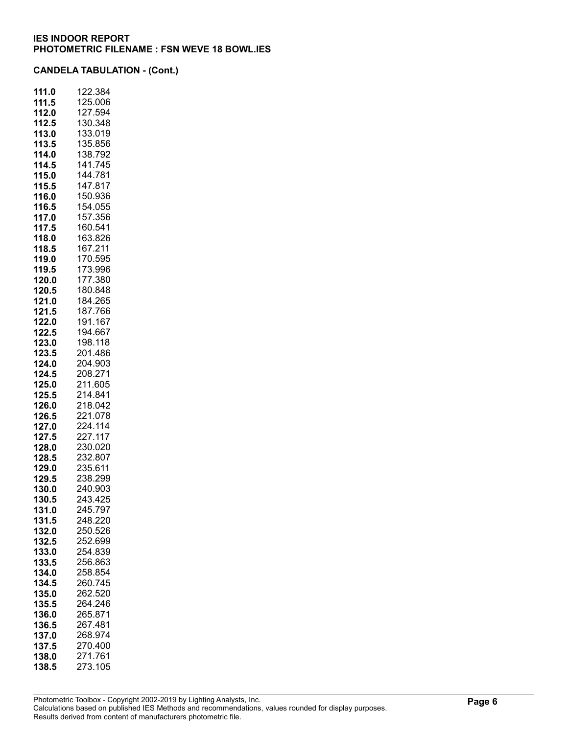| 111.0 | 122.384 |
|-------|---------|
| 111.5 | 125.006 |
| 112.0 | 127.594 |
| 112.5 | 130.348 |
| 113.0 | 133.019 |
| 113.5 | 135.856 |
| 114.0 | 138.792 |
| 114.5 | 141.745 |
| 115.0 | 144.781 |
| 115.5 | 147.817 |
| 116.0 | 150.936 |
| 116.5 | 154.055 |
| 117.0 | 157.356 |
| 117.5 | 160.541 |
|       | 163.826 |
| 118.0 | 167.211 |
| 118.5 |         |
| 119.0 | 170.595 |
| 119.5 | 173.996 |
| 120.0 | 177.380 |
| 120.5 | 180.848 |
| 121.0 | 184.265 |
| 121.5 | 187.766 |
| 122.0 | 191.167 |
| 122.5 | 194.667 |
| 123.0 | 198.118 |
| 123.5 | 201.486 |
| 124.0 | 204.903 |
| 124.5 | 208.271 |
| 125.0 | 211.605 |
| 125.5 | 214.841 |
| 126.0 | 218.042 |
| 126.5 | 221.078 |
| 127.0 | 224.114 |
| 127.5 | 227.117 |
| 128.0 | 230.020 |
| 128.5 | 232.807 |
| 129.0 | 235.611 |
| 129.5 | 238.299 |
| 130.0 | 240.903 |
| 130.5 | 243.425 |
| 131.0 | 245.797 |
| 131.5 | 248.220 |
| 132.0 | 250.526 |
| 132.5 | 252.699 |
| 133.0 | 254.839 |
| 133.5 | 256.863 |
| 134.0 | 258.854 |
| 134.5 | 260.745 |
| 135.0 | 262.520 |
| 135.5 | 264.246 |
| 136.0 | 265.871 |
| 136.5 | 267.481 |
| 137.0 | 268.974 |
| 137.5 | 270.400 |
| 138.0 | 271.761 |
| 138.5 | 273.105 |
|       |         |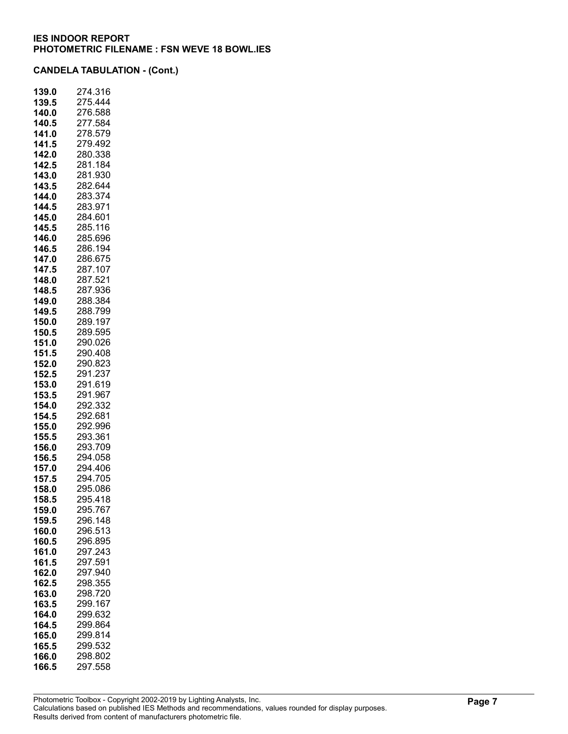| 139.0          | 274.316            |
|----------------|--------------------|
| 139.5          | 275.444            |
| 140.0          | 276.588            |
| 140.5          | 277.584            |
| 141.0          | 278.579            |
| 141.5          | 279.492            |
| 142.0          | 280.338            |
| 142.5          | 281.184            |
| 143.0          | 281.930            |
| 143.5          | 282.644            |
| 144.0          | 283.374            |
| 144.5          | 283.971            |
| 145.0          | 284.601            |
| 145.5          | 285.116            |
| 146.0          | 285.696<br>286.194 |
| 146.5<br>147.0 | 286.675            |
| 147.5          | 287.107            |
|                | 287.521            |
| 148.0          | 287.936            |
| 148.5<br>149.0 | 288.384            |
| 149.5          | 288.799            |
| 150.0          | 289.197            |
| 150.5          | 289.595            |
| 151.0          | 290.026            |
| 151.5          | 290.408            |
| 152.0          | 290.823            |
| 152.5          | 291.237            |
| 153.0          | 291.619            |
| 153.5          | 291.967            |
| 154.0          | 292.332            |
| 154.5          | 292.681            |
| 155.0          | 292.996            |
| 155.5          | 293.361            |
| 156.0          | 293.709            |
| 156.5          | 294.058            |
| 157.0          | 294.406            |
| 157.5          | 294.705            |
| 158.0          | 295.086            |
| 158.5          | 295.418            |
| 159.0          | 295.767            |
| 159.5          | 296.148            |
| 160.0          | 296.513            |
| 160.5          | 296.895            |
| 161.0          | 297.243            |
| 161.5          | 297.591            |
| 162.0<br>162.5 | 297.940<br>298.355 |
| 163.0          | 298.720            |
| 163.5          | 299.167            |
| 164.0          | 299.632            |
| 164.5          | 299.864            |
| 165.0          | 299.814            |
| 165.5          | 299.532            |
| 166.0          | 298.802            |
| 166.5          | 297.558            |
|                |                    |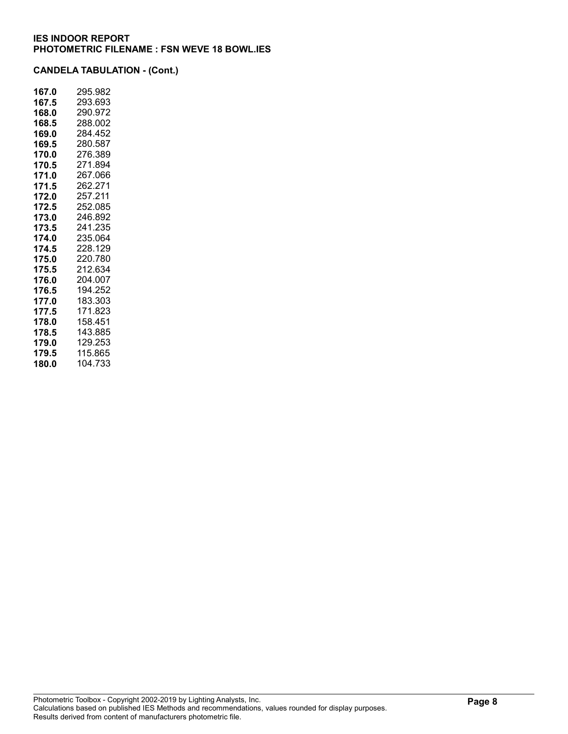| 167.0 | 295.982 |
|-------|---------|
| 167.5 | 293.693 |
| 168.0 | 290.972 |
| 168.5 | 288.002 |
| 169.0 | 284.452 |
| 169.5 | 280.587 |
| 170.0 | 276.389 |
| 170.5 | 271.894 |
| 171.0 | 267.066 |
| 171.5 | 262.271 |
| 172.0 | 257.211 |
| 172.5 | 252.085 |
| 173.0 | 246.892 |
| 173.5 | 241.235 |
| 174.0 | 235.064 |
| 174.5 | 228.129 |
| 175.0 | 220.780 |
| 175.5 | 212.634 |
| 176.0 | 204.007 |
| 176.5 | 194.252 |
| 177.0 | 183.303 |
| 177.5 | 171.823 |
| 178.0 | 158.451 |
| 178.5 | 143.885 |
| 179.0 | 129.253 |
| 179.5 | 115.865 |
| 180.0 | 104.733 |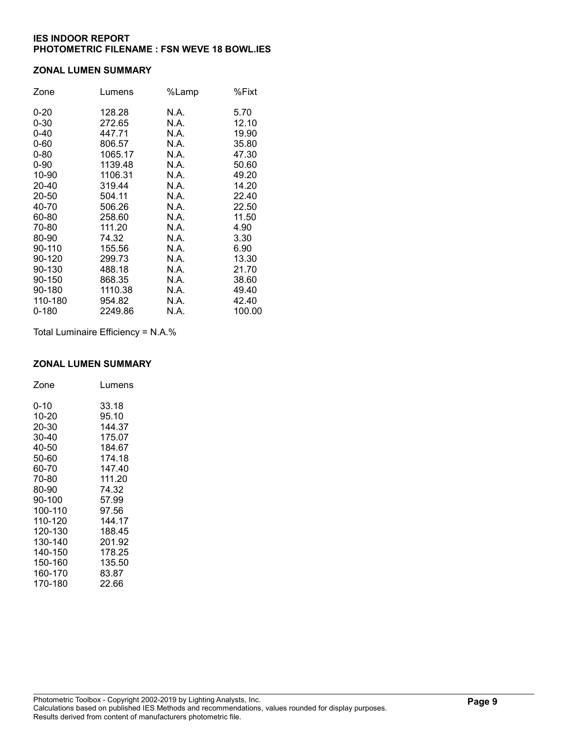#### ZONAL LUMEN SUMMARY

| Zone     | Lumens  | %Lamp | %Fixt  |
|----------|---------|-------|--------|
| $0 - 20$ | 128.28  | N.A.  | 5.70   |
| $0 - 30$ | 272.65  | N.A.  | 12.10  |
| $0 - 40$ | 447.71  | N.A.  | 19.90  |
| $0 - 60$ | 806.57  | N.A.  | 35.80  |
| $0 - 80$ | 1065.17 | N.A.  | 47.30  |
| $0 - 90$ | 1139.48 | N.A.  | 50.60  |
| 10-90    | 1106.31 | N.A.  | 49.20  |
| 20-40    | 319.44  | N.A.  | 14.20  |
| 20-50    | 504.11  | N.A.  | 22.40  |
| 40-70    | 506.26  | N.A.  | 22.50  |
| 60-80    | 258.60  | N.A.  | 11.50  |
| 70-80    | 111.20  | N.A.  | 4.90   |
| 80-90    | 74.32   | N.A.  | 3.30   |
| 90-110   | 155.56  | N.A.  | 6.90   |
| 90-120   | 299.73  | N.A.  | 13.30  |
| 90-130   | 488.18  | N.A.  | 21.70  |
| 90-150   | 868.35  | N.A.  | 38.60  |
| 90-180   | 1110.38 | N.A.  | 49.40  |
| 110-180  | 954.82  | N.A.  | 42.40  |
| 0-180    | 2249.86 | N.A.  | 100.00 |

Total Luminaire Efficiency = N.A.%

### ZONAL LUMEN SUMMARY

| Zone    | Lumens |
|---------|--------|
| 0-10    | 33.18  |
| 10-20   | 95.10  |
| 20-30   | 144.37 |
| 30-40   | 175.07 |
| 40-50   | 184.67 |
| 50-60   | 174.18 |
| 60-70   | 147.40 |
| 70-80   | 111.20 |
| 80-90   | 74.32  |
| 90-100  | 57.99  |
| 100-110 | 97.56  |
| 110-120 | 144.17 |
| 120-130 | 188.45 |
| 130-140 | 201.92 |
| 140-150 | 178.25 |
| 150-160 | 135.50 |
| 160-170 | 83.87  |
| 170-180 | 22.66  |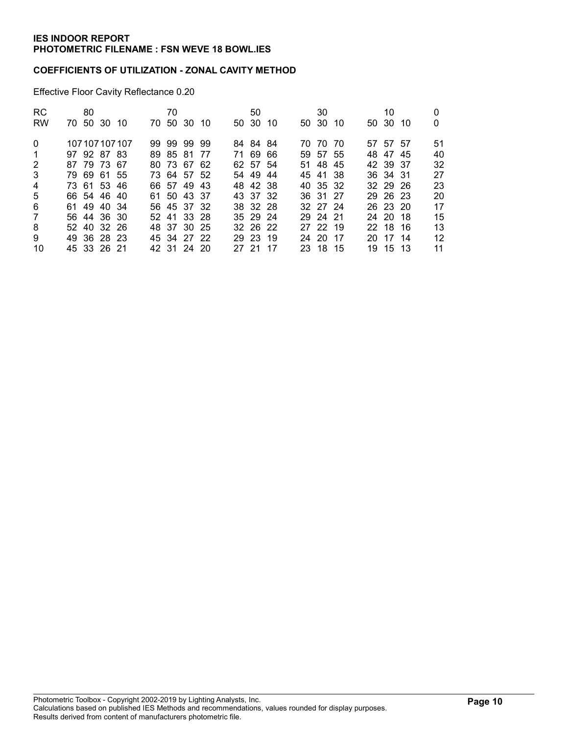### COEFFICIENTS OF UTILIZATION - ZONAL CAVITY METHOD

Effective Floor Cavity Reflectance 0.20

| <b>RC</b>      | 80          |                 | 70 |             |       | 50       |      | 30       |  | 10       |    |
|----------------|-------------|-----------------|----|-------------|-------|----------|------|----------|--|----------|----|
| <b>RW</b>      | 70 50 30 10 |                 |    | 70 50 30 10 |       | 50 30 10 |      | 50 30 10 |  | 50 30 10 | 0  |
| $\Omega$       |             | 107 107 107 107 |    | 99 99 99 99 |       | 84 84 84 |      | 70 70 70 |  | 57 57 57 | 51 |
| -1             | 97 92 87 83 |                 |    | 89 85 81 77 |       | 71 69 66 |      | 59 57 55 |  | 48 47 45 | 40 |
| 2              | 87 79 73 67 |                 |    | 80 73 67 62 |       | 62 57 54 |      | 51 48 45 |  | 42 39 37 | 32 |
| 3              | 79 69 61 55 |                 |    | 73 64 57 52 |       | 54 49 44 |      | 45 41 38 |  | 36 34 31 | 27 |
| $\overline{4}$ | 73 61 53 46 |                 |    | 66 57 49 43 |       | 48 42 38 |      | 40 35 32 |  | 32 29 26 | 23 |
| 5              | 66 54 46 40 |                 |    | 61 50 43 37 |       | 43 37 32 |      | 36 31 27 |  | 29 26 23 | 20 |
| 6              | 61 49 40 34 |                 |    | 56 45 37 32 |       | 38 32 28 |      | 32 27 24 |  | 26 23 20 | 17 |
| 7              | 56 44 36 30 |                 |    | 52 41 33 28 |       | 35 29 24 |      | 29 24 21 |  | 24 20 18 | 15 |
| 8              | 52 40 32 26 |                 |    | 48 37 30 25 |       | 32 26 22 |      | 27 22 19 |  | 22 18 16 | 13 |
| 9              | 49 36 28 23 |                 |    | 45 34 27 22 |       | 29 23 19 |      | 24 20 17 |  | 20 17 14 | 12 |
| 10             | 45 33 26 21 |                 |    | 42 31 24 20 | 27 21 |          | - 17 | 23 18 15 |  | 19 15 13 | 11 |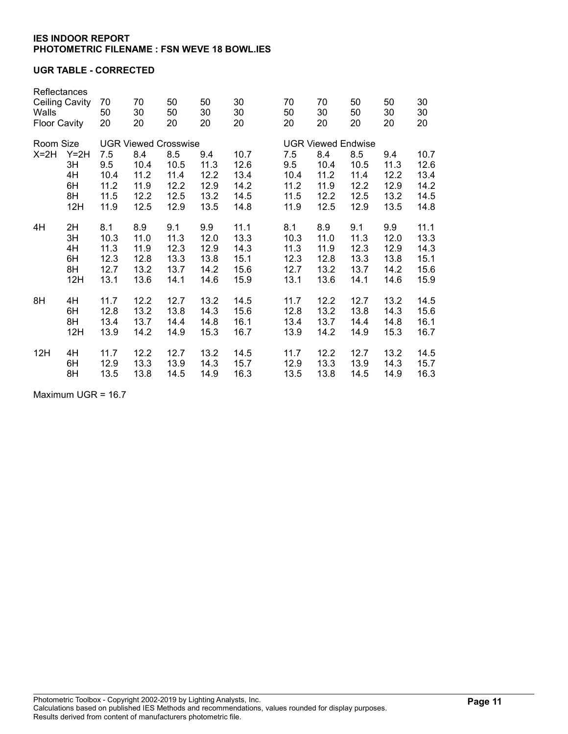### UGR TABLE - CORRECTED

| Reflectances<br><b>Ceiling Cavity</b><br>Walls<br><b>Floor Cavity</b> |          | 70<br>50<br>20                                                  | 70<br>30<br>20 | 50<br>50<br>20 | 50<br>30<br>20 | 30<br>30<br>20 | 70<br>50<br>20 | 70<br>30<br>20                                         | 50<br>50<br>20 | 50<br>30<br>20 | 30<br>30<br>20 |  |
|-----------------------------------------------------------------------|----------|-----------------------------------------------------------------|----------------|----------------|----------------|----------------|----------------|--------------------------------------------------------|----------------|----------------|----------------|--|
| Room Size<br>$X=2H$<br>$Y=2H$                                         |          | <b>UGR Viewed Crosswise</b><br>8.5<br>10.7<br>7.5<br>8.4<br>9.4 |                |                |                |                | 7.5            | <b>UGR Viewed Endwise</b><br>10.7<br>8.4<br>8.5<br>9.4 |                |                |                |  |
|                                                                       | 3H<br>4H | 9.5<br>10.4                                                     | 10.4<br>11.2   | 10.5<br>11.4   | 11.3<br>12.2   | 12.6<br>13.4   | 9.5<br>10.4    | 10.4<br>11.2                                           | 10.5<br>11.4   | 11.3<br>12.2   | 12.6<br>13.4   |  |
|                                                                       | 6H       | 11.2                                                            | 11.9           | 12.2           | 12.9           | 14.2           | 11.2           | 11.9                                                   | 12.2           | 12.9           | 14.2           |  |
|                                                                       | 8H       | 11.5                                                            | 12.2           | 12.5           | 13.2           | 14.5           | 11.5           | 12.2                                                   | 12.5           | 13.2           | 14.5           |  |
|                                                                       | 12H      | 11.9                                                            | 12.5           | 12.9           | 13.5           | 14.8           | 11.9           | 12.5                                                   | 12.9           | 13.5           | 14.8           |  |
| 4H                                                                    | 2H       | 8.1                                                             | 8.9            | 9.1            | 9.9            | 11.1           | 8.1            | 8.9                                                    | 9.1            | 9.9            | 11.1           |  |
|                                                                       | 3H       | 10.3                                                            | 11.0           | 11.3           | 12.0           | 13.3           | 10.3           | 11.0                                                   | 11.3           | 12.0           | 13.3           |  |
|                                                                       | 4H       | 11.3                                                            | 11.9           | 12.3           | 12.9           | 14.3           | 11.3           | 11.9                                                   | 12.3           | 12.9           | 14.3           |  |
|                                                                       | 6H       | 12.3                                                            | 12.8           | 13.3           | 13.8           | 15.1           | 12.3           | 12.8                                                   | 13.3           | 13.8           | 15.1           |  |
|                                                                       | 8H       | 12.7                                                            | 13.2           | 13.7           | 14.2           | 15.6           | 12.7           | 13.2                                                   | 13.7           | 14.2           | 15.6           |  |
|                                                                       | 12H      | 13.1                                                            | 13.6           | 14.1           | 14.6           | 15.9           | 13.1           | 13.6                                                   | 14.1           | 14.6           | 15.9           |  |
| 8H                                                                    | 4H       | 11.7                                                            | 12.2           | 12.7           | 13.2           | 14.5           | 11.7           | 12.2                                                   | 12.7           | 13.2           | 14.5           |  |
|                                                                       | 6H       | 12.8                                                            | 13.2           | 13.8           | 14.3           | 15.6           | 12.8           | 13.2                                                   | 13.8           | 14.3           | 15.6           |  |
|                                                                       | 8H       | 13.4                                                            | 13.7           | 14.4           | 14.8           | 16.1           | 13.4           | 13.7                                                   | 14.4           | 14.8           | 16.1           |  |
|                                                                       | 12H      | 13.9                                                            | 14.2           | 14.9           | 15.3           | 16.7           | 13.9           | 14.2                                                   | 14.9           | 15.3           | 16.7           |  |
| 12H                                                                   | 4H       | 11.7                                                            | 12.2           | 12.7           | 13.2           | 14.5           | 11.7           | 12.2                                                   | 12.7           | 13.2           | 14.5           |  |
|                                                                       | 6H       | 12.9                                                            | 13.3           | 13.9           | 14.3           | 15.7           | 12.9           | 13.3                                                   | 13.9           | 14.3           | 15.7           |  |
|                                                                       | 8H       | 13.5                                                            | 13.8           | 14.5           | 14.9           | 16.3           | 13.5           | 13.8                                                   | 14.5           | 14.9           | 16.3           |  |

Maximum UGR = 16.7